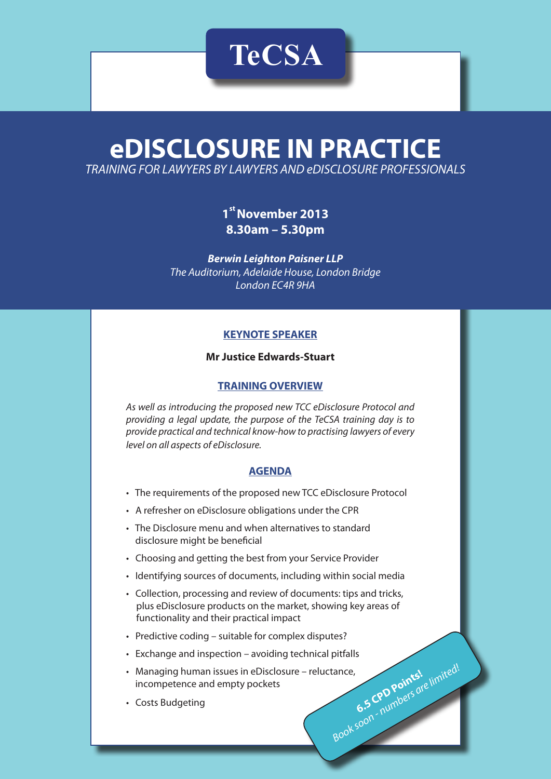# **eDISCLOSURE IN PRACTICE** *TRAINING FOR LAWYERS BY LAWYERS AND eDISCLOSURE PROFESSIONALS*

**TeCSA**

**1<sup>st</sup> November 2013 8.30am – 5.30pm**

*Berwin Leighton Paisner LLP The Auditorium, Adelaide House, London Bridge London EC4R 9HA*

# **KEYNOTE SPEAKER**

## **Mr Justice Edwards-Stuart**

#### **TRAINING OVERVIEW**

*As well as introducing the proposed new TCC eDisclosure Protocol and providing a legal update, the purpose of the TeCSA training day is to provide practical and technical know-how to practising lawyers of every level on all aspects of eDisclosure.* 

## **AGENDA**

- The requirements of the proposed new TCC eDisclosure Protocol
- A refresher on eDisclosure obligations under the CPR
- The Disclosure menu and when alternatives to standard disclosure might be beneficial
- Choosing and getting the best from your Service Provider
- Identifying sources of documents, including within social media
- Collection, processing and review of documents: tips and tricks, plus eDisclosure products on the market, showing key areas of functionality and their practical impact
- Predictive coding suitable for complex disputes?
- Exchange and inspection avoiding technical pitfalls
- tance,<br>
6.5 CPD Points! limited! • Managing human issues in eDisclosure – reluctance, incompetence and empty pockets
- Costs Budgeting